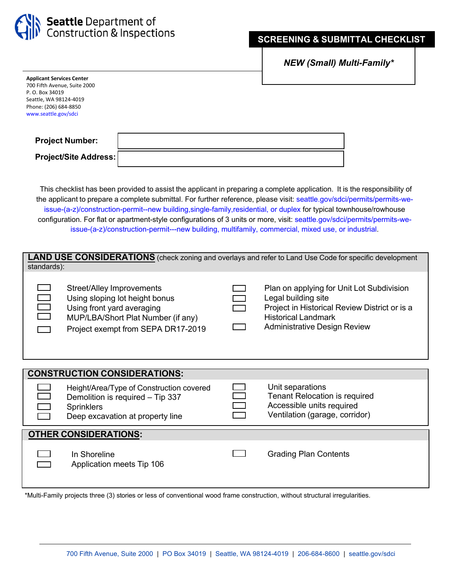

## **SCREENING & SUBMITTAL CHECKLIST**

*NEW (Small) Multi-Family\** 

| <b>Applicant Services Center</b> |
|----------------------------------|
| 700 Fifth Avenue, Suite 2000     |
| P. O. Box 34019                  |
| Seattle, WA 98124-4019           |
| Phone: (206) 684-8850            |
| www.seattle.gov/sdci             |

| <b>Project Number:</b>       |  |
|------------------------------|--|
| <b>Project/Site Address:</b> |  |

This checklist has been provided to assist the applicant in preparing a complete application. It is the responsibility of the applicant to prepare a complete submittal. For further reference, please visit: [seattle.gov/sdci/permits/permits-we](http://www.seattle.gov/sdci/permits/permits-we-issue-(a-z)/construction-permit%C2%A0--new-building-single-family-residential%C2%A0or-duplex)issue-(a-z)/construction-permit--new building,single-family,residential, or duplex for typical townhouse/rowhouse configuration. For flat or apartment-style configurations of 3 units or more, visit: seattle.gov/sdci/permits/permits-weissue-(a-z)[/construction-permit---new building,](http://www.seattle.gov/sdci/permits/permits-we-issue-(a-z)/construction-permit---new-building-multifamily-commercial-mixed-use%C2%A0or-industrial) multifamily, commercial, mixed use, or industrial.

| <b>LAND USE CONSIDERATIONS</b> (check zoning and overlays and refer to Land Use Code for specific development<br>standards): |                                                                                                                                                                       |  |                                                                                                                                                                                        |  |  |
|------------------------------------------------------------------------------------------------------------------------------|-----------------------------------------------------------------------------------------------------------------------------------------------------------------------|--|----------------------------------------------------------------------------------------------------------------------------------------------------------------------------------------|--|--|
|                                                                                                                              | Street/Alley Improvements<br>Using sloping lot height bonus<br>Using front yard averaging<br>MUP/LBA/Short Plat Number (if any)<br>Project exempt from SEPA DR17-2019 |  | Plan on applying for Unit Lot Subdivision<br>Legal building site<br>Project in Historical Review District or is a<br><b>Historical Landmark</b><br><b>Administrative Design Review</b> |  |  |
| <b>CONSTRUCTION CONSIDERATIONS:</b>                                                                                          |                                                                                                                                                                       |  |                                                                                                                                                                                        |  |  |
|                                                                                                                              | Height/Area/Type of Construction covered<br>Demolition is required - Tip 337<br><b>Sprinklers</b><br>Deep excavation at property line                                 |  | Unit separations<br><b>Tenant Relocation is required</b><br>Accessible units required<br>Ventilation (garage, corridor)                                                                |  |  |
| <b>OTHER CONSIDERATIONS:</b>                                                                                                 |                                                                                                                                                                       |  |                                                                                                                                                                                        |  |  |
|                                                                                                                              | In Shoreline<br>Application meets Tip 106                                                                                                                             |  | <b>Grading Plan Contents</b>                                                                                                                                                           |  |  |
| *Multi-Family projects three (3) stories or less of conventional wood frame construction, without structural irregularities. |                                                                                                                                                                       |  |                                                                                                                                                                                        |  |  |